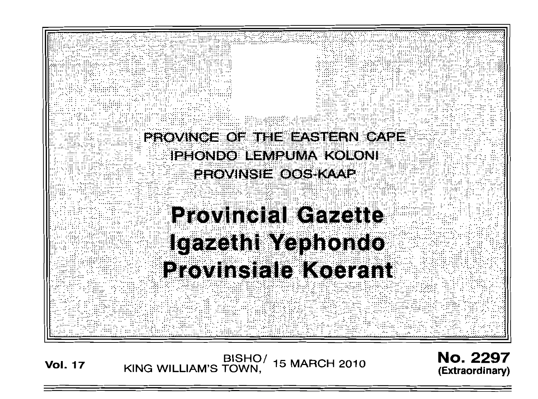

/BISHO<br>KING WILLIAM'S TOWN, **15 MARCH 2010 Vol. 17** 

**No. 2297** (Extraordinary)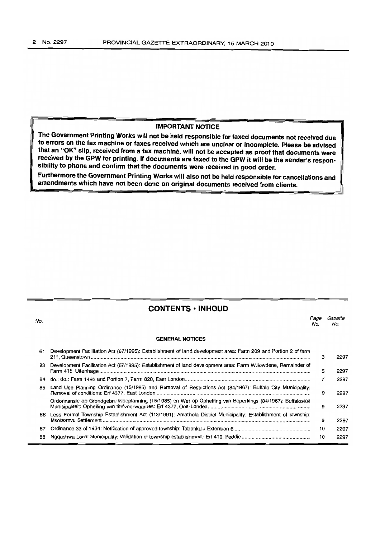### **IMPORTANT NOTICE**

**The Government Printing Works will not be held responsible for faxed documents not received due to errors on the fax machine or faxes received which are unclear or incomplete. Please be advised that an "OK" slip, received from a fax machine, will not be accepted as proof that documents were received by the GPW for printing. If documents are faxed to the GPW it will be the sender's responsibility to phone and confirm that the documents were received in good order.**

**Furthermore the Government Printing Works will also not be held responsible for cancellations and amendments which have not been done on original documents received from clients.**

| No. |                                                                                                                | Page<br>No. | Gazette<br>No. |
|-----|----------------------------------------------------------------------------------------------------------------|-------------|----------------|
|     | <b>GENERAL NOTICES</b>                                                                                         |             |                |
| 61  | Development Facilitation Act (67/1995): Establishment of land development area: Farm 209 and Portion 2 of farm | з           | 2297           |
| 83  | Development Facilitation Act (67/1995): Establishment of land development area: Farm Willowdene, Remainder of  | 5           | 2297           |
| 84  |                                                                                                                |             | 2297           |
| 85  | Land Use Planning Ordinance (15/1985) and Removal of Restrictions Act (84/1967): Buffalo City Municipality:    | 9           | 2297           |
|     | Ordonnansie op Grondgebruiksbeplanning (15/1985) en Wet op Opheffing van Beperkings (84/1967): Buffalostad     | 9           | 2297           |
| 86  | Less Formal Township Establishment Act (113/1991): Amathola District Municipality: Establishment of township:  | 9           | 2297           |
| 87  |                                                                                                                | 10          | 2297           |
| 88  |                                                                                                                | 10          | 2297           |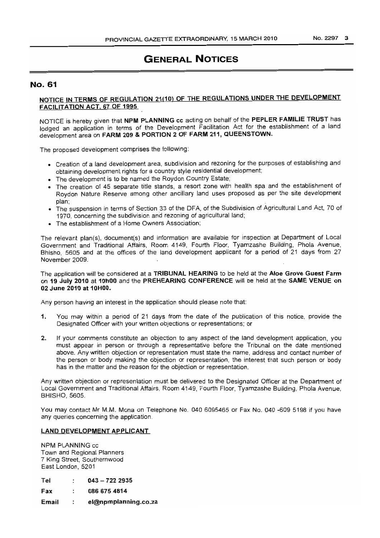# **GENERAL NOTICES**

### No. 61

### NOTICE IN TERMS OF REGULATION 21(10) OF THE REGULATIONS UNDER THE DEVELOPMENT FACILITATiON ACT, 67 OF 1995

NOTICE is hereby given that NPM PLANNING cc acting on behalf of the PEPLER FAMILIE TRUST has lodged an application in terms of the Development Facilitation Act for the establishment of a land. development area on FARM 209 & PORTION 2 OF FARM 211, QUEENSTOWN.

The proposed development comprises the following:

- Creation of a land development area, subdivision and rezoning for the purposes of establishing and obtaining development rights for a country style residential development;
- The development is to be named the Roydon Country Estate;
- The creation of 45 separate title stands, a resort zone with health spa and the establishment of Roydon Nature Reserve among other ancillary land uses proposed as per the site development plan; .
- The suspension in terms of Section 33 of the DFA, of the Subdivision of Agricultural Land Act, 70 of 1970, concerning the subdivision and rezoning of agricultural land;
- The establishment of a Home Owners Association;

The relevant plan(s), document(s) and information are available for inspection at Department of Local Government and Traditional Affairs, Room 4149, Fourth Floor, Tyamzashe Building, Phola Avenue, Bhisho, 5605 and at the offices of the land development applicant for a period of 21 days from 27 November 2009.

The application will be considered at a TRIBUNAL HEARING to be held at the Aloe Grove Guest Farm on 19 July 2010 at 10hOO and the PREHEARING CONFERENCE will be held at the SAME VENUE on 02 June 2010 at 10HOO.

Any person having an interest in the application should please note that:

- 1. You may within a period of 21 days from the date of the publication of this notice, provide the Designated Officer with your written objections or representations; or
- 2, If your comments constitute an objection to any aspect of the land development application, you must appear in person or through a representative before the Tribunal on the date mentioned above. Any written objection or representation must state the name, address and contact number of the person or body making the objection or representation, the interest that such person or body has in the matter and the reason for the objection or representation.

Any written objection or representation must be delivered to the Designated Officer at the Department of Local Government and Traditional Affairs, Room 4149, Fourth Floor, Tyamzashe Building, Phola Avenue, BHISHO, 5605.

You may contact Mr M.M. Mona on Telephone No. 040 6095465 or Fax No. 040 -609 5198 if you have any queries concerning the application.

#### LAND DEVELOPMENT APPLICANT

NPM PLANNING cc Town and Regional Planners 7 King Street, Southernwood East London, 5201

| Tel   | $043 - 7222935$      |
|-------|----------------------|
| Fax   | 086 675 4814         |
| Email | el@npmplanning.co.za |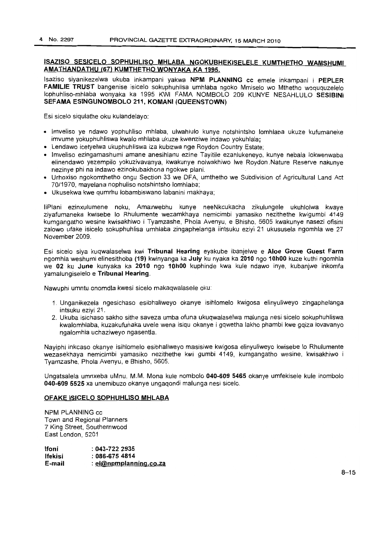### **ISAZISO SESICELO SOPHUHLlSO MHLABA NGOKUBHEKISELELE KUMTHETHO WAMSHUMI AMATHANDATHU (67) KUMTHETHO WONYAKA KA 1995.**

lsaziso siyanikezelwa ukuba inkampani yakwa **NPM PLANNING** cc emele inkampani i **PEPLER FAMILIE TRUST** bangenise isicelo sokuphuhlisa umhlaba ngoko Mmiselo wo Mthetho woququzelelo lophuhliso-mhlaba wonyaka ka 1995 KWI FAMA NOMBOLO 209 KUNYE NESAHLULO **SESIBINI SEFAMA ESINGUNOMBOLO 211, KOMANI (QUEENSTOWN)**

Esi sicelo siqulathe oku kulandelayo:

- Imveliso ye ndawo yophuhliso mhlaba, ulwahlulo kunye notshintsho lomhlaba ukuze kufumaneke imvume yokuphuhliswa kwalo mhlaba ukuze kwenziwe indawo yokuhlala;
- Lendawo icetyelwa ukuphuhliswa iza kubizwa nge Roydon Country Estate;
- Imveliso ezingamashumi amane anesihlanu ezine Tayitile ezahlukeneyo, kunye nebala lokwenwaba elinendawo yezempilo yokuzivavanya, kwakunye nolwakhiwo Iwe Roydon. Nature Reserve nakunye nezinye phi na indawo ezinokubakhona ngokwe plani.
- Urhoxiso ngokomthetho ongu Section 33 we DFA, umthetho we Subdivision of Agricultural Land Act 70/1970, mayelana nophuliso notshintsho lomhlaba;
- Ukusekwa kwe qumrhu lobambiswano labanini makhaya;

liPlani ezinxulumene noku, Amaxwebhu kunye neeNkcukacha zikulungele ukuhlolwa kwaye ziyafumaneka kwisebe <sup>10</sup> Rhulumente wezamkhaya nemicimbi yamasiko nezithethe kwigumbi 4149 kumgangatho wesine kwisakhiwo i Tyamzashe, Phola Avenyu, e Bhisho, 5605 kwakunye nasezi ofisini zalowo ufake isicelo sokuphuhlisa umhlaba zingaphelanga iintsuku eziyi 21 ukususela ngomhla we 27 November 2009.

Esi sicelo siva kuqwalaselwa kwi **Tribunal Hearing** eyakube ibanjelwe e **Aloe Grove Guest Farm** ngomhla weshumi elinesithoba **(19)** kwinyanga ka **July** ku nyaka ka **2010** ngo **10hOO** kuze kuthi ngomhla we **02 ku June** kunyaka ka **2010** ngo **10hOO** kuphinde kwa kule ndawo inye, kubanjwe inkomfa yamalungiselelo e **Tribunal Hearing.**

Nawuphi umntu onomdla kwesi sicelo makaqwalasele oku:

- 1. Unganikezela ngesichaso esibhaliweyo okanye isihlomelo kwigosa elinyuliweyo zingaphelanga intsuku eziyi 21.
- 2. Ukuba isichaso sakho sithe saveza umba ofuna ukuqwalaselwa malunga nesi sicelo sokuphuhliswa kwalomhlaba, kuzakufunaka uvele wena isiqu okanye i gqwetha lakho phambi kwe gqiza lovavanyo nqalornhla uchaziweyo ngasentla.

Nayiphi inkcaso okanye isihlomelo esibhaliweyo masisiwe kwigosa elinyuliweyo kwisebe <sup>10</sup> Rhulumente wezasekhaya nemicimbi yamasiko nezithethe kwi gumbi 4149, kumgangatho wesine, kwisakhiwo i Tyamzashe, Phola Avenyu, e Bhisho, 5605.

Ungatsalela umnxeba uMnu. M.M. Mona kule nombolo **040-609 5465** okanye umfekisele kule inombolo **040-609 5525** xa unemibuzo okanye ungaqondi malunga nesi sicelo.

#### **OFAKE ISICELO SOPHUHLlSO MHLABA**

NPM PLANNING cc Town and Regional Planners 7 King Street, Southernwood East London, 5201

| lfoni   | $:043-7222935$         |
|---------|------------------------|
| lfekisi | : 086-675 4814         |
| E-mail  | : el@npmplanning.co.za |

 $8 - 15$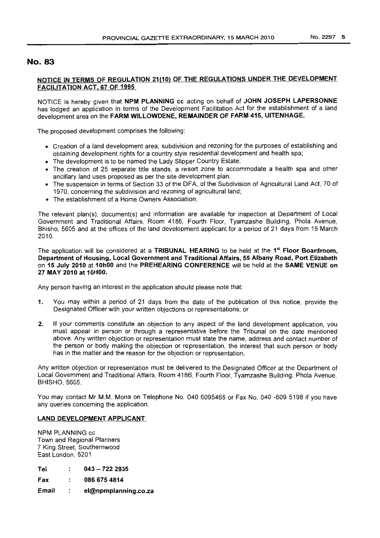### No. 83

### NOTICE IN TERMS OF REGULATION 21(10) OF THE REGULATIONS UNDER THE DEVELOPMENT FACILITATION ACT, 67 OF 1995

NOTICE is hereby given that NPM PLANNING cc acting on behalf of JOHN JOSEPH LAPERSONNE has lodged an application in terms of the Development Facilitation Act for the establishment of a land development area on the FARM WILLOWDENE, REMAINDER OF FARM 415, UITENHAGE.

The proposed development comprises the following:

- Creation of a land development area, subdivision and rezoning for the purposes of establishing and obtaining development rights for a country style residential development and health spa;
- The development is to be named the Lady Slipper Country Estate;
- The creation of 25 separate title stands, a resort zone to accommodate a health spa and other ancillary land uses proposed as per the site development plan;
- The suspension in terms of Section 33 of the DFA, of the Subdivision of Agricultural Land Act, 70 of 1970, concerning the subdivision and rezoning of agricultural land;
- The establishment of a Home Owners Association;

The relevant plan(s), document(s) and information are available for inspection at Department of Local Government and Traditional Affairs, Room 4186, Fourth Floor, Tyamzashe Building, Phola Avenue, Bhisho, 5605 and at the offices of the land development applicant for a period of 21 days from 15 March 2010.

The application will be considered at a TRIBUNAL HEARING to be held at the 1<sup>st</sup> Floor Boardroom, Department of Housing, Local Government and Traditional Affairs, 55 Albany Road, Port Elizabeth on 15 July 2010 at 10hOO and the PREHEARING CONFERENCE will be held at the SAME VENUE on 27 MAY 2010 at 10HOO.

Any person havinq an interest in the application should please note that:

- 1. You may within a period of 21 days from the date of the publication of this notice, provide the Designated Officer with your written objections or representations; or
- 2. If your comments constitute an objection to any aspect of the land development application, you must appear in person or through a representative before the Tribunal on the date mentioned above. Any written objection or representation must state the name, address and contact number of the person or body making the objection or representation, the interest that such person or body has in the matter and the reason for the objection or representation.

Any written objection or representation must be delivered to the Designated Officer at the Department of Local Government and Traditional Affairs, Room 4186, Fourth Floor, Tyamzashe Building, Phola Avenue, BHISHO, 5605.

You may contact Mr M.M. Mona on Telephone No. 040 6095465 or Fax No. 040 -609 5198 if you have any queries concerning the application.

### LAND DEVELOPMENT APPLICANT

NPM PLANNING cc Town and Regional Planners 7 King Street, Southernwood East London, 5201

|  | Tel |  | $043 - 7222335$ |  |  |
|--|-----|--|-----------------|--|--|
|--|-----|--|-----------------|--|--|

Fax 0866754814  $\cdot$ 

Email  $\mathbf{r}$ el@npmplanning,co.za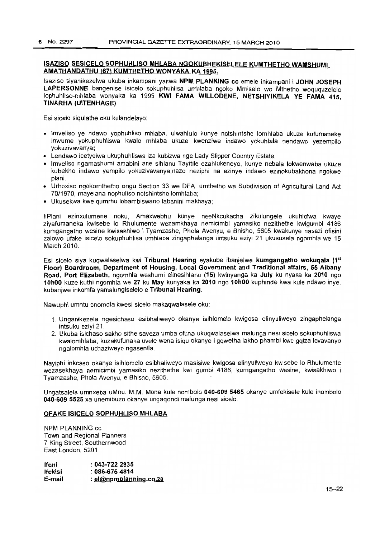### ISAZISO SESICElO SOPHUHLlSO MHlABA NGOKUBHEKISElElE KUMTHETHO WAMSHUMI AMATHANDATHU (67) KUMTHETHO WONYAKA KA 1995.

Isaziso siyanikezelwa ukuba inkampani yakwa NPM PLANNING cc emele inkampani i JOHN JOSEPH LAPERSONNE bangenise isicelo sokuphuhlisa umhlaba ngoko Mmiselo wo Mthetho woququzelelo lophuhliso-mhlaba wonyaka ka 1995 KWI FAMA WILLODENE, NETSHIYIKELA YE FAMA 415, TINARHA (UITENHAGE)

Esi sicelo siqulathe oku kulandelayo:

- Imveliso ye ndawo yophuhliso mhlaba, ulwahlulo kunye notshintsho lomhlaba ukuze kufumaneke imvume yokuphuhliswa kwalo mhlaba ukuze kwenziwe indawo yokuhlala nendawo yezempilo yokuzivavanya;
- Lendawo icetyelwa ukuphuhliswa iza kubizwa nge Lady Slipper Country Estate;
- Imveliso ngamashumi amabini ane sihlanu Tayitile ezahlukeneyo, kunye nebala lokwenwaba ukuze kubekho indawo yempilo yokuzivavanya,nazo neziphi na ezinye indawo ezinokubakhona ngokwe plani.
- Urhoxiso ngokomthetho ongu Section 33 we DFA, umthetho we Subdivision of Agricultural Land Act 70/1970, mayelana nophuliso notshintsho lomhlaba;
- Ukusekwa kwe qumrhu lobambiswano labanini makhaya;

IiPlani ezinxulumene noku, Amaxwebhu kunye neeNkcukacha zikulungele ukuhlolwa kwaye ziyafumaneka kwisebe 10 Rhulumente wezamkhaya nemicimbi yamasiko nezithethe kwigumbi 4186 kumgangatho wesine kwisakhiwo i Tyamzashe, Phola Avenyu, e Bhisho, 5605 kwakunye nasezi ofisini zalowo ufake isicelo sokuphuhlisa umhlaba zingaphelanga iintsuku eziyi 21 ukususela ngomhla we 15 March 2010.

Esi sicelo siya kuqwalaselwa kwi Tribunal Hearing eyakube ibanjelwe kumgangatho wokuqala (1<sup>st</sup> Floor) Boardroom, Department of Housing, local Government and Traditional affairs, 55 Albany Road, Port Elizabeth, ngomhla weshumi elinesihlanu (15) kwinyanga ka July ku nyaka ka 2010 ngo 10hOO kuze kuthi ngomhla we 27 ku May kunyaka ka 2010 ngo 10hOO kuphinde kwa kule ndawo inye, kubanjwe inkomfa yamalungiselelo e Tribunal Hearing.

Nawuphi umntu onomdla kwesi sicelo makaqwalasele oku:

- 1. Unganikezela ngesichaso esibhaliweyo okanye isihlomelo kwigosa elinyuliweyo zingaphelanga intsuku eziyi 21.
- 2. Llkuba isichaso sakho sithe saveza umba ofuna ukuqwalaselwa malunga nesi sicelo sokuphuhliswa kwalomhlaba, kuzakufunaka uvele wena isiqu okanye i gqwetha lakho phambi kwe gqiza lovavanyo ngalomhla uchaziweyo ngasentla.

Nayiphi inkcaso okanye isihlomelo esibhaliweyo masisiwe kwigosa elinyuliweyo kwisebe 10 Rhulumente wezasekhaya nemicimbi yamasiko nezithethe kwi gumbi 4186, kumgangatho wesine, kwisakhiwo i Tyamzashe, Phola Avenyu, e Bhisho, 5605.

Ungatsalela umnxeba uMnu. M.M. Mona kule nombolo 040-609 5465 okanye umfekisele kule inombolo 040-609 5525 xa unemibuzo okanye ungaqondi malunga nesi sicelo.

#### OFAKE ISICElO SOPHUHLlSO MHlABA

NPM PLANNING cc Town and Regional Planners 7 King Street, Southernwood East London, 5201

| lfoni   | $: 043 - 7222935$      |
|---------|------------------------|
| Ifekisi | $: 086 - 6754814$      |
| E-mail  | : el@npmplanning.co.za |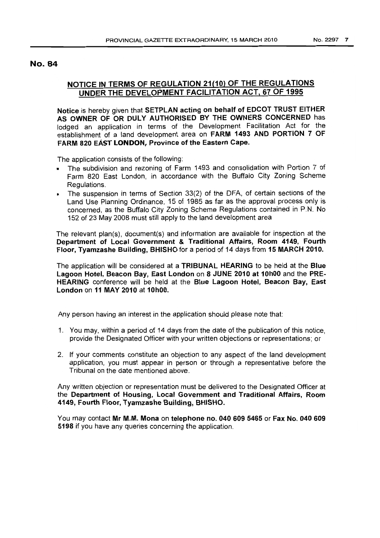### No. 84

# **NOTICE IN TERMS OF REGULATION 21(1O) OF THE REGULATIONS UNDER THE DEVELOPMENT FACILITATION ACT, 67 OF 1995**

**Notice** is hereby given that **SETPLAN acting on behalf of EDCOT TRUST EITHER AS OWNER OF OR DULY AUTHORISED BY THE OWNERS CONCERNED** has lodged an application in terms of the Development Facilitation Act for the establishment of a land development area on **FARM 1493 AND PORTION 7 OF FARM 820 EAsT LONDON, Province of the Eastern Cape.**

The application consists of the following:

- The subdivision and rezoning of Farm 1493 and consolidation with Portion 7 of Farm 820 East London, in accordance with the Buffalo City Zoning Scheme Regulations.
- The suspension in terms of Section 33(2) of the DFA, of certain sections of the Land Use Planning Ordinance, 15 of 1985 as far as the approval process only is concerned, as the Buffalo City Zoning Scheme Regulations contained in P.N. No 152 of 23 May 2008 must still apply to the land development area

The relevant plan(s), document(s) and information are available for inspection at the **Department of Local Government & Traditional Affairs, Room 4149, Fourth Floor, Tyamzashe Building, BHISHO** for a period of 14 days from **15 MARCH 2010.**

The application will be considered at a **TRIBUNAL HEARING** to be held at the **Blue Lagoon Hotel, Beacon Bay, East London on 8 JUNE 2010 at 10hOO** and the **PRE-HEARING** conference will be held at the **Blue Lagoon Hotel, Beacon Bay, East London on 11 MAY 2010 at 10hOO.**

Any person having an interest in the application should please note that

- 1. You may, within a period of 14 days from the date of the publication of this notice, provide the Designated Officer with your written objections or representations; or
- 2. If your comments constitute an objection to any aspect of the land development application, you must appear in person or through a representative before the Tribunal on the date mentioned above.

Any written objection or representation must be delivered to the Designated Officer at the **Department of Housing, Local Government and Traditional Affairs, Room 4149, Fourth Floor, Tyamzashe Bui\ding, BH\SHO.**

You may contact **Mr M.M. Mona on telephone no. 0406095465 or Fax No. 040 609 5198** if you have any queries concerning the application.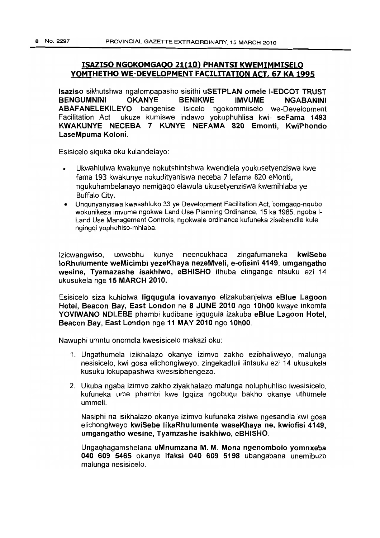### ISAZISO NGOKOMGAOO 21(10) PHANTSI KWEMIMMISELO YOMTHETHO WE-DEVELOPMENT FACILITATION ACT, 67 KA 1995

Isaziso sikhutshwa ngalompapasho sisithi uSETPLAN omele I-EDCOT TRUST BENGUMNINI OKANYE BENIKWE IMVUME NGABANINI ABAFANELEKILEYO bangenise isicelo ngokommiiselo we-Development Facilitation Act ukuze kumiswe indawo yokuphuhlisa kwi- seFama 1493 KWAKUNYE NECEBA 7 KUNYE NEFAMA 820 Emonti, KwiPhondo LaseMpuma Koloni.

Esisicelo siquka oku kulandelayo:

- Ukwahlulwa kwakunye nokutshintshwa kwendlela youkusetyenziswa kwe fama 193 kwakunye nokudityaniswa neceba 7 lefama 820 eMonti, ngukuhambelanayo nemigaqo elawula ukusetyenziswa kwemihlaba ye Buffalo City.
- Unqunyanyiswa kwesahluko 33 ye Development Facilitation Act, bomgaqo-nqubo wokunikeza imvume ngokwe Land Use Planning Ordinance, 15ka 1985, ngoba 1- Land Use Management Controls, ngokwale ordinance kufuneka zisebenzile kule ngingqi yophuhiso-mhlaba.

Izicwangwiso, uxwebhu kunye neencukhaca zingafumaneka kwiSebe loRhulumente weMicimbi yezeKhaya nezeMveli, e-ofisini 4149, umgangatho wesine, Tyamazashe isakhiwo, eBHISHO ithuba elingange ntsuku ezi 14 ukusukela nge 15 MARCH 2010.

Esisicelo siza kuhlolwa Iigqugula lovavanyo elizakubanjelwa eBlue Lagoon Hotel, Beacon Bay, East London ne 8 JUNE 2010 ngo 10hOO kwaye inkomfa YOVIWANO NDLEBE phambi kudibane igqugula izakuba eBlue Lagoon Hotel, Beacon Bay, East London nge 11 MAY 2010 ngo 10hOO.

Nawuphi umntu onomdla kwesisicelo makazi oku:

- 1. Ungathumela izikhalazo okanye izimvo zakho ezibhaliweyo, malunga nesisicelo, kwi gosa elichongiweyo, zingekadluli iintsuku ezi 14 ukusukela kusuku lokupapashwa kwesisibhengezo.
- 2. Ukuba ngaba izimvo zakho ziyakhalazo malunga noluphuhliso Iwesisicelo, kufuneka ume phambi kwe Igqiza ngobuqu bakho okanye uthumele ummeli.

Nasiphi na isikhalazo okanye izimvo kufuneka zisiwe ngesandla kwi gosa elichongiweyo kwiSebe IikaRhulumente waseKhaya ne, kwiofisi 4149, umgangatho wesine, Tyamzashe isakhiwo, eBHISHO.

Ungaqhagamshelana uMnumzana M. M. Mona ngenombolo yomnxeba 040 609 5465 okanye ifaksi 040 609 5198 ubangabana unemibuzo malunga nesisicelo.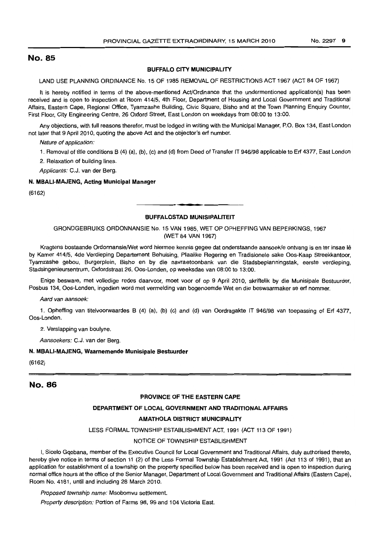### No. 85

#### BUFFALO CITY MUNICIPALITY

LAND USE PLANNING ORDINANCE No. 15 OF 1985 REMOVAL OF RESTRICTIONS ACT 1967 (ACT 84 OF 1967)

It is hereby notified in terms of the above-mentioned Act/Ordinance that the undermentioned application(s) has been received and is open to inspection at Room 414/5, 4th Floor, Department of Housing and Local Government and Traditional Affairs, Eastern Cape, Regional Office, Tyamzashe Building, Civic Square, Bisho and at the Town Planning Enquiry Counter, First Floor, City Engineering Centre, 26 Oxford Street, East London on weekdays from 08:00 to 13:00.

Any objections, with full reasons therefor, must be lodged in writing with the Municipal Manager, P.O. Box 134, East London not later that 9 April 2010, quoting the above Act and the objector's ert number.

Nature of application:

1. Removal of title conditions B (4) (a), (b), (c) and (d) from Deed of Transfer IT 946/98 applicable to Erf 4377, East London

2. Relaxation of building lines.

Applicants: C.J. van der Berg.

#### N. MBALI-MAJENG, Acting Municipal Manager

(6162)

#### BUFFALOSTAD MUNISIPALITEIT

.**-.**

GRONDGEBRUIKS ORDONNANSIE No. 15 VAN 1985, WET OP OPHEFFING VAN BEPERKINGS, 1967 (WET 84 VAN 1967)

Kragtens bostaande OrdonnansielWet word hiermee kennis gegee dat onderstaande aansoek/e ontvang is en ter insae Ie by Kamer 414/5, 4de Verdieping Departement Behuising, Plaalike Regering en Tradisionele sake Oos-Kaap Streekkantoor, Tyamzashe gebou, Burgerplein, Bisho en by die navraetoonbank van die Stadsbeplanningstak, eerste verdieping, Stadsingenieursentrum, Oxfordstraat 26, Oos-Londen, op weeksdae van 08:00 to 13:00.

Enige besware, met volledige redes daarvoor, moet voor of op 9 April 2010, skriftelik by die Munisipale Bestuurder, Posbus 134, Oos-Londen, ingedien word met vermelding van bogenoemde Wet en die beswaarmaker se ert nommer.

Aard van aansoek:

1. Opheffing van titelvoorwaardes B (4) (a), (b) (c) and (d) van Oordragakte IT 946/98 van toepassing of Erf 4377, Oos-Londen.

2. Verslapping van boulyne.

Aansoekers: C.J. van der Berg.

#### N. MBALI-MAJENG, Waarnemende Munisipale Bestuurder

(6162)

### No. 86

#### PROVINCE OF THE EASTERN CAPE

#### DEPARTMENT OF LOCAL GOVERNMENT AND TRADITIONAL AFFAIRS

#### AMATHOLA DISTRICT MUNICIPALITY

LESS FORMAL TOWNSHIP ESTABLISHMENT ACT, 1991 (ACT 113 OF 1991)

#### NOTICE OF TOWNSHIP ESTABLISHMENT

I, Sicelo Gqobana, member of the Executive Council for Local Government and Traditional Affairs, duly authorised thereto, hereby give notice in terms of section 11 (2) of the Less Formal Township Establishment Act, 1991 (Act 113 of 1991), that an application for establishment of a township on the property specified below has been received and is open to inspection during normal office hours at the office of the Senior Manager, Department of Local Government and Traditional Affairs (Eastern Cape), Room No. 4181, until and including 28 March 2010.

Proposed township name: Msobomvu settlement.

Property description: Portion of Farms 98, 99 and 104 Victoria East.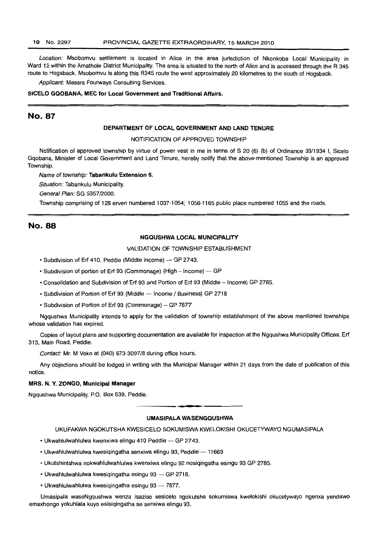#### 10 No. 2297 PROVINCIAL GAZETTE EXTRAORDINARY, 15 MARCH 2010

Location: Msobomvu settlement is located in Alice in the area jurisdiction of Nkonkobe Local Municipality in Ward 12 within the Amathole District Municipality. The area is situated to the north of Alice and is accessed through the R 345 route to Hogsback. Msobomvu is along this R345 route the west approximately 20 kilometres to the south of Hogsback.

Applicant: Messrs Fourways Consulting Services.

#### SICELO GQOBANA, MEC for Local Government and Traditional Affairs.

### No. 87

#### DEPARTMENT OF LOCAL GOVERNMENT AND LAND TENURE

NOTIFICATION OF APPROVED TOWNSHIP

Notification of approved township by virtue of power vest in me in terms of S 20 (6) (b) of Ordinance 33/1934 I, Sicelo Gqobana, Minister of Local Government and Land Tenure, hereby notify that the above-mentioned Township is an approved Township.

Name of township: Tabankulu Extension 6.

Situation: Tabankulu Municipality.

General Plan: SG 5357/2000.

Township comprising of 128 erven numbered 1037-1054; 1056-1165 public place numbered 1055 and the roads.

### No. 88

#### NGQUSHWA LOCAL MUNICIPALITY

VALIDATION OF TOWNSHIP ESTABLISHMENT

- Subdivision of Erf 410, Peddie (Middle Income) GP 2743.
- Subdivision of portion of Erf 93 (Commonage) (High Income) GP
- Consolidation and Subdivision of Erf 93 and Portion of Erf 93 (Middle Income) GP 2785.
- Subdivision of Portion of Erf 93 (Middle Income / Business) GP 2718
- Subdivision of Portion of Erf 93 (Commonage) GP 7877

Ngqushwa Municipality intends to apply for the validation of township establishment of the above mentioned townships whose validation has expired.

Copies of layout plans and supporting documentation are available for inspection at the Ngqushwa Municipality Offices, Erf 313, Main Road, Peddie.

Contact: Mr. M Voko at (040) 673-3097/8 during office hours.

Any objections should be lodged in writing with the Municipal Manager within 21 days from the date of publication of this notice.

#### MRS. N. Y. ZONGO, Municipal Manager

Ngqushwa Municipality, P.O. Box 539, Peddie.

## **•** UMASIPALA WASENGQUSHWA

#### UKUFAKWA NGOKUTSHA KWESICELO SOKUMISWA KWELOKISHI OKUCETYWAYO NGUMASIPALA

- Ukwahlulwahlulwa kwenxiwa elingu 410 Peddie GP 2743.
- Ukwahlulwahlulwa kwesiqingatha senxiwa elingu 93, Peddie 11669
- Ukutshintshwa nokwahlulwahlulwa kwenxiwa elingu 92 nesiqingatha esingu 93 GP 2785.
- Ukwahlulwahlulwa kwesiqingatha esingu 93 GP 2718.
- Ukwahlulwahlulwa kwesiqingatha esingu 93  $-$  7877.

Umasipala waseNgqushwa wenza isaziso sesicelo ngokutsha sokumiswa kwelokishi okucetywayo ngenxa yendawo emaxhongo yokuhlala kuyo esisiqingatha se senxiwa elingu 93.